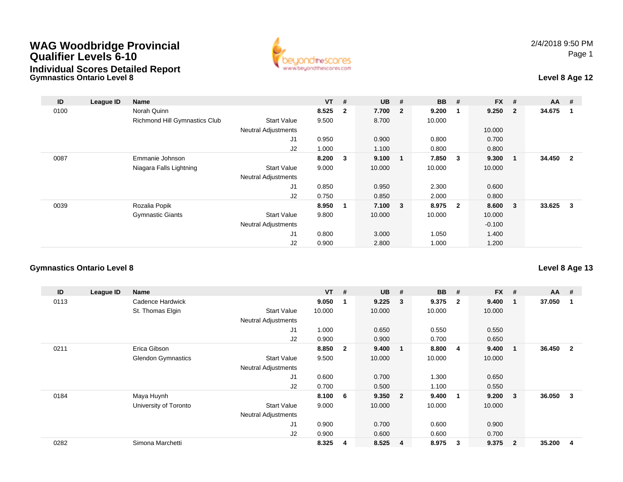# **WAG Woodbridge Provincial Qualifier Levels 6-10**





| ID   | League ID | Name                          |                            | <b>VT</b> | #              | <b>UB</b>   | #              | <b>BB</b> | #                       | <b>FX</b> | - #                     | <b>AA</b> | #                       |
|------|-----------|-------------------------------|----------------------------|-----------|----------------|-------------|----------------|-----------|-------------------------|-----------|-------------------------|-----------|-------------------------|
| 0100 |           | Norah Quinn                   |                            | 8.525     | $\overline{2}$ | 7.700       | $\overline{2}$ | 9.200     | -1                      | 9.250     | $\overline{\mathbf{2}}$ | 34.675    | -1                      |
|      |           | Richmond Hill Gymnastics Club | <b>Start Value</b>         | 9.500     |                | 8.700       |                | 10.000    |                         |           |                         |           |                         |
|      |           |                               | <b>Neutral Adjustments</b> |           |                |             |                |           |                         | 10.000    |                         |           |                         |
|      |           |                               | J1                         | 0.950     |                | 0.900       |                | 0.800     |                         | 0.700     |                         |           |                         |
|      |           |                               | J2                         | 1.000     |                | 1.100       |                | 0.800     |                         | 0.800     |                         |           |                         |
| 0087 |           | Emmanie Johnson               |                            | 8.200     | 3              | 9.100       | 1              | 7.850     | 3                       | 9.300     | - 1                     | 34.450    | $\overline{2}$          |
|      |           | Niagara Falls Lightning       | <b>Start Value</b>         | 9.000     |                | 10.000      |                | 10.000    |                         | 10.000    |                         |           |                         |
|      |           |                               | <b>Neutral Adjustments</b> |           |                |             |                |           |                         |           |                         |           |                         |
|      |           |                               | J1                         | 0.850     |                | 0.950       |                | 2.300     |                         | 0.600     |                         |           |                         |
|      |           |                               | J2                         | 0.750     |                | 0.850       |                | 2.000     |                         | 0.800     |                         |           |                         |
| 0039 |           | Rozalia Popik                 |                            | 8.950     | 1              | $7.100 \t3$ |                | 8.975     | $\overline{\mathbf{2}}$ | 8.600     | $\overline{\mathbf{3}}$ | 33.625    | $\overline{\mathbf{3}}$ |
|      |           | <b>Gymnastic Giants</b>       | <b>Start Value</b>         | 9.800     |                | 10.000      |                | 10.000    |                         | 10.000    |                         |           |                         |
|      |           |                               | <b>Neutral Adjustments</b> |           |                |             |                |           |                         | $-0.100$  |                         |           |                         |
|      |           |                               | J <sub>1</sub>             | 0.800     |                | 3.000       |                | 1.050     |                         | 1.400     |                         |           |                         |
|      |           |                               | J2                         | 0.900     |                | 2.800       |                | 1.000     |                         | 1.200     |                         |           |                         |

#### **Gymnastics Ontario Level 8**

| ID   | League ID | Name                      |                            | $VT$ # |                | <b>UB</b> | #                       | <b>BB</b> | #              | <b>FX</b> | #              | $AA$ # |                |
|------|-----------|---------------------------|----------------------------|--------|----------------|-----------|-------------------------|-----------|----------------|-----------|----------------|--------|----------------|
| 0113 |           | Cadence Hardwick          |                            | 9.050  |                | 9.225     | $\mathbf{3}$            | 9.375     | $\overline{2}$ | 9.400     | $\mathbf 1$    | 37.050 |                |
|      |           | St. Thomas Elgin          | <b>Start Value</b>         | 10.000 |                | 10.000    |                         | 10.000    |                | 10.000    |                |        |                |
|      |           |                           | <b>Neutral Adjustments</b> |        |                |           |                         |           |                |           |                |        |                |
|      |           |                           | J1                         | 1.000  |                | 0.650     |                         | 0.550     |                | 0.550     |                |        |                |
|      |           |                           | J <sub>2</sub>             | 0.900  |                | 0.900     |                         | 0.700     |                | 0.650     |                |        |                |
| 0211 |           | Erica Gibson              |                            | 8.850  | $\overline{2}$ | 9.400     | $\overline{\mathbf{1}}$ | 8.800     | -4             | 9.400     | $\mathbf{1}$   | 36.450 | $\overline{2}$ |
|      |           | <b>Glendon Gymnastics</b> | <b>Start Value</b>         | 9.500  |                | 10.000    |                         | 10.000    |                | 10.000    |                |        |                |
|      |           |                           | <b>Neutral Adjustments</b> |        |                |           |                         |           |                |           |                |        |                |
|      |           |                           | J1                         | 0.600  |                | 0.700     |                         | 1.300     |                | 0.650     |                |        |                |
|      |           |                           | J <sub>2</sub>             | 0.700  |                | 0.500     |                         | 1.100     |                | 0.550     |                |        |                |
| 0184 |           | Maya Huynh                |                            | 8.100  | 6              | 9.350     | $\overline{\mathbf{2}}$ | 9.400     | -1             | 9.200     | 3              | 36.050 | 3              |
|      |           | University of Toronto     | <b>Start Value</b>         | 9.000  |                | 10.000    |                         | 10.000    |                | 10.000    |                |        |                |
|      |           |                           | <b>Neutral Adjustments</b> |        |                |           |                         |           |                |           |                |        |                |
|      |           |                           | J1                         | 0.900  |                | 0.700     |                         | 0.600     |                | 0.900     |                |        |                |
|      |           |                           | J2                         | 0.900  |                | 0.600     |                         | 0.600     |                | 0.700     |                |        |                |
| 0282 |           | Simona Marchetti          |                            | 8.325  | -4             | 8.525     | $\overline{4}$          | 8.975     | 3              | 9.375     | $\overline{2}$ | 35.200 | 4              |

### **Level 8 Age 13**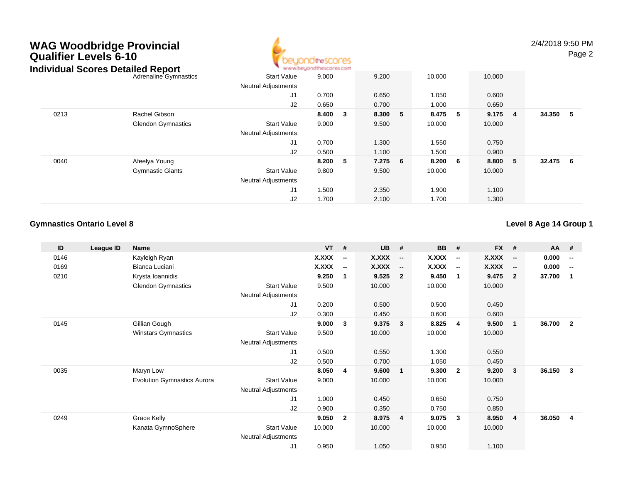# **WAG Woodbridge Provincial Qualifier Levels 6-10**



2/4/2018 9:50 PMPage 2

|      | Individual Scores Detailed Report |                            | www.beyondthescores.com |                         |            |            |   |         |     |        |     |
|------|-----------------------------------|----------------------------|-------------------------|-------------------------|------------|------------|---|---------|-----|--------|-----|
|      | Adrenaline Gymnastics             | <b>Start Value</b>         | 9.000                   |                         | 9.200      | 10.000     |   | 10.000  |     |        |     |
|      |                                   | <b>Neutral Adjustments</b> |                         |                         |            |            |   |         |     |        |     |
|      |                                   | J1                         | 0.700                   |                         | 0.650      | 1.050      |   | 0.600   |     |        |     |
|      |                                   | J2                         | 0.650                   |                         | 0.700      | 1.000      |   | 0.650   |     |        |     |
| 0213 | Rachel Gibson                     |                            | 8.400                   | $\overline{\mathbf{3}}$ | 8.300      | 8.475<br>5 | 5 | 9.175   | - 4 | 34.350 | - 5 |
|      | <b>Glendon Gymnastics</b>         | Start Value                | 9.000                   |                         | 9.500      | 10.000     |   | 10.000  |     |        |     |
|      |                                   | <b>Neutral Adjustments</b> |                         |                         |            |            |   |         |     |        |     |
|      |                                   | J1                         | 0.700                   |                         | 1.300      | 1.550      |   | 0.750   |     |        |     |
|      |                                   | J2                         | 0.500                   |                         | 1.100      | 1.500      |   | 0.900   |     |        |     |
| 0040 | Afeelya Young                     |                            | 8.200                   | - 5                     | 7.275<br>6 | 8.200 6    |   | 8.800 5 |     | 32.475 | - 6 |
|      | <b>Gymnastic Giants</b>           | <b>Start Value</b>         | 9.800                   |                         | 9.500      | 10.000     |   | 10.000  |     |        |     |
|      |                                   | <b>Neutral Adjustments</b> |                         |                         |            |            |   |         |     |        |     |
|      |                                   | J1                         | 1.500                   |                         | 2.350      | 1.900      |   | 1.100   |     |        |     |
|      |                                   | J2                         | 1.700                   |                         | 2.100      | 1.700      |   | 1.300   |     |        |     |

### **Gymnastics Ontario Level 8**

**Level 8 Age 14 Group 1**

| ID   | League ID | Name                               |                            | <b>VT</b>    | #                        | <b>UB</b> | #                        | <b>BB</b>    | #                        | <b>FX</b> | #                        | <b>AA</b> | - #                      |
|------|-----------|------------------------------------|----------------------------|--------------|--------------------------|-----------|--------------------------|--------------|--------------------------|-----------|--------------------------|-----------|--------------------------|
| 0146 |           | Kayleigh Ryan                      |                            | <b>X.XXX</b> | $\overline{\phantom{a}}$ | X.XXX     | $\sim$                   | X.XXX        | $\overline{\phantom{a}}$ | X.XXX     | $\overline{\phantom{a}}$ | 0.000     | $\overline{\phantom{a}}$ |
| 0169 |           | Bianca Luciani                     |                            | <b>X.XXX</b> | $\overline{\phantom{a}}$ | X.XXX     | $\overline{\phantom{a}}$ | <b>X.XXX</b> | $\overline{\phantom{a}}$ | X.XXX     | $\overline{\phantom{a}}$ | 0.000     | $\overline{\phantom{a}}$ |
| 0210 |           | Krysta Ioannidis                   |                            | 9.250        | 1                        | 9.525     | $\overline{2}$           | 9.450        | -1                       | 9.475     | $\overline{2}$           | 37.700    | -1                       |
|      |           | <b>Glendon Gymnastics</b>          | <b>Start Value</b>         | 9.500        |                          | 10.000    |                          | 10.000       |                          | 10.000    |                          |           |                          |
|      |           |                                    | <b>Neutral Adjustments</b> |              |                          |           |                          |              |                          |           |                          |           |                          |
|      |           |                                    | J <sub>1</sub>             | 0.200        |                          | 0.500     |                          | 0.500        |                          | 0.450     |                          |           |                          |
|      |           |                                    | J2                         | 0.300        |                          | 0.450     |                          | 0.600        |                          | 0.600     |                          |           |                          |
| 0145 |           | Gillian Gough                      |                            | 9.000        | 3                        | 9.375     | $\overline{\mathbf{3}}$  | 8.825        | 4                        | 9.500     | $\overline{\mathbf{1}}$  | 36.700    | $\mathbf{2}$             |
|      |           | <b>Winstars Gymnastics</b>         | <b>Start Value</b>         | 9.500        |                          | 10.000    |                          | 10.000       |                          | 10.000    |                          |           |                          |
|      |           |                                    | Neutral Adjustments        |              |                          |           |                          |              |                          |           |                          |           |                          |
|      |           |                                    | J <sub>1</sub>             | 0.500        |                          | 0.550     |                          | 1.300        |                          | 0.550     |                          |           |                          |
|      |           |                                    | J <sub>2</sub>             | 0.500        |                          | 0.700     |                          | 1.050        |                          | 0.450     |                          |           |                          |
| 0035 |           | Maryn Low                          |                            | 8.050        | 4                        | 9.600     | $\overline{\mathbf{1}}$  | 9.300        | $\overline{2}$           | 9.200     | 3                        | 36.150    | 3                        |
|      |           | <b>Evolution Gymnastics Aurora</b> | <b>Start Value</b>         | 9.000        |                          | 10.000    |                          | 10.000       |                          | 10.000    |                          |           |                          |
|      |           |                                    | <b>Neutral Adjustments</b> |              |                          |           |                          |              |                          |           |                          |           |                          |
|      |           |                                    | J <sub>1</sub>             | 1.000        |                          | 0.450     |                          | 0.650        |                          | 0.750     |                          |           |                          |
|      |           |                                    | J2                         | 0.900        |                          | 0.350     |                          | 0.750        |                          | 0.850     |                          |           |                          |
| 0249 |           | Grace Kelly                        |                            | 9.050        | $\mathbf{2}$             | 8.975     | $\overline{\mathbf{4}}$  | 9.075        | 3                        | 8.950     | $\overline{4}$           | 36.050    | 4                        |
|      |           | Kanata GymnoSphere                 | <b>Start Value</b>         | 10.000       |                          | 10.000    |                          | 10.000       |                          | 10.000    |                          |           |                          |
|      |           |                                    | Neutral Adjustments        |              |                          |           |                          |              |                          |           |                          |           |                          |
|      |           |                                    | J <sub>1</sub>             | 0.950        |                          | 1.050     |                          | 0.950        |                          | 1.100     |                          |           |                          |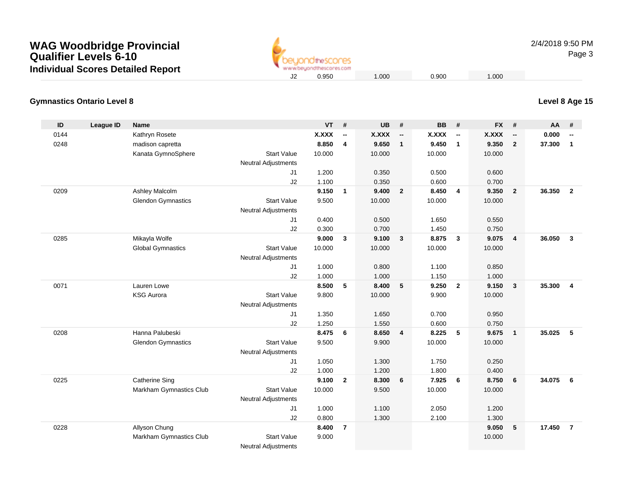

2/4/2018 9:50 PMPage 3

#### **Gymnastics Ontario Level 8Level 8 Age 15**

| ID   | <b>League ID</b> | <b>Name</b>               |                            | VT     | $\pmb{\#}$               | <b>UB</b>    | #                        | <b>BB</b>    | #                        | <b>FX</b>    | #                        | AA     | #                        |
|------|------------------|---------------------------|----------------------------|--------|--------------------------|--------------|--------------------------|--------------|--------------------------|--------------|--------------------------|--------|--------------------------|
| 0144 |                  | Kathryn Rosete            |                            | X.XXX  | $\overline{\phantom{a}}$ | <b>X.XXX</b> | $\overline{\phantom{a}}$ | <b>X.XXX</b> | $\overline{\phantom{a}}$ | <b>X.XXX</b> | $\overline{\phantom{a}}$ | 0.000  | $\overline{\phantom{a}}$ |
| 0248 |                  | madison capretta          |                            | 8.850  | $\overline{4}$           | 9.650        | $\overline{1}$           | 9.450        | $\overline{1}$           | 9.350        | $\overline{2}$           | 37.300 | $\mathbf{1}$             |
|      |                  | Kanata GymnoSphere        | <b>Start Value</b>         | 10.000 |                          | 10.000       |                          | 10.000       |                          | 10.000       |                          |        |                          |
|      |                  |                           | Neutral Adjustments        |        |                          |              |                          |              |                          |              |                          |        |                          |
|      |                  |                           | J1                         | 1.200  |                          | 0.350        |                          | 0.500        |                          | 0.600        |                          |        |                          |
|      |                  |                           | J2                         | 1.100  |                          | 0.350        |                          | 0.600        |                          | 0.700        |                          |        |                          |
| 0209 |                  | Ashley Malcolm            |                            | 9.150  | $\mathbf{1}$             | 9.400        | $\overline{\mathbf{2}}$  | 8.450        | $\overline{4}$           | 9.350        | $\overline{2}$           | 36.350 | $\overline{2}$           |
|      |                  | <b>Glendon Gymnastics</b> | <b>Start Value</b>         | 9.500  |                          | 10.000       |                          | 10.000       |                          | 10.000       |                          |        |                          |
|      |                  |                           | <b>Neutral Adjustments</b> |        |                          |              |                          |              |                          |              |                          |        |                          |
|      |                  |                           | J1                         | 0.400  |                          | 0.500        |                          | 1.650        |                          | 0.550        |                          |        |                          |
|      |                  |                           | J2                         | 0.300  |                          | 0.700        |                          | 1.450        |                          | 0.750        |                          |        |                          |
| 0285 |                  | Mikayla Wolfe             |                            | 9.000  | $\mathbf{3}$             | 9.100        | $\mathbf{3}$             | 8.875        | $\mathbf{3}$             | 9.075        | $\overline{4}$           | 36.050 | $\overline{\mathbf{3}}$  |
|      |                  | <b>Global Gymnastics</b>  | <b>Start Value</b>         | 10.000 |                          | 10.000       |                          | 10.000       |                          | 10.000       |                          |        |                          |
|      |                  |                           | <b>Neutral Adjustments</b> |        |                          |              |                          |              |                          |              |                          |        |                          |
|      |                  |                           | J1                         | 1.000  |                          | 0.800        |                          | 1.100        |                          | 0.850        |                          |        |                          |
|      |                  |                           | J2                         | 1.000  |                          | 1.000        |                          | 1.150        |                          | 1.000        |                          |        |                          |
| 0071 |                  | Lauren Lowe               |                            | 8.500  | 5                        | 8.400        | 5                        | 9.250        | $\overline{2}$           | 9.150        | $\mathbf{3}$             | 35.300 | $\overline{4}$           |
|      |                  | <b>KSG Aurora</b>         | <b>Start Value</b>         | 9.800  |                          | 10.000       |                          | 9.900        |                          | 10.000       |                          |        |                          |
|      |                  |                           | <b>Neutral Adjustments</b> |        |                          |              |                          |              |                          |              |                          |        |                          |
|      |                  |                           | J1                         | 1.350  |                          | 1.650        |                          | 0.700        |                          | 0.950        |                          |        |                          |
|      |                  |                           | J2                         | 1.250  |                          | 1.550        |                          | 0.600        |                          | 0.750        |                          |        |                          |
| 0208 |                  | Hanna Palubeski           |                            | 8.475  | 6                        | 8.650        | $\overline{4}$           | 8.225        | 5                        | 9.675        | $\mathbf{1}$             | 35.025 | $5\phantom{.0}$          |
|      |                  | <b>Glendon Gymnastics</b> | <b>Start Value</b>         | 9.500  |                          | 9.900        |                          | 10.000       |                          | 10.000       |                          |        |                          |
|      |                  |                           | <b>Neutral Adjustments</b> |        |                          |              |                          |              |                          |              |                          |        |                          |
|      |                  |                           | J1                         | 1.050  |                          | 1.300        |                          | 1.750        |                          | 0.250        |                          |        |                          |
|      |                  |                           | J2                         | 1.000  |                          | 1.200        |                          | 1.800        |                          | 0.400        |                          |        |                          |
| 0225 |                  | <b>Catherine Sing</b>     |                            | 9.100  | $\overline{2}$           | 8.300        | 6                        | 7.925        | 6                        | 8.750        | 6                        | 34.075 | 6                        |
|      |                  | Markham Gymnastics Club   | <b>Start Value</b>         | 10.000 |                          | 9.500        |                          | 10.000       |                          | 10.000       |                          |        |                          |
|      |                  |                           | Neutral Adjustments        |        |                          |              |                          |              |                          |              |                          |        |                          |
|      |                  |                           | J1                         | 1.000  |                          | 1.100        |                          | 2.050        |                          | 1.200        |                          |        |                          |
|      |                  |                           | J2                         | 0.800  |                          | 1.300        |                          | 2.100        |                          | 1.300        |                          |        |                          |
| 0228 |                  | Allyson Chung             |                            | 8.400  | $\overline{7}$           |              |                          |              |                          | 9.050        | 5                        | 17.450 | $\overline{7}$           |
|      |                  | Markham Gymnastics Club   | <b>Start Value</b>         | 9.000  |                          |              |                          |              |                          | 10.000       |                          |        |                          |
|      |                  |                           | <b>Neutral Adjustments</b> |        |                          |              |                          |              |                          |              |                          |        |                          |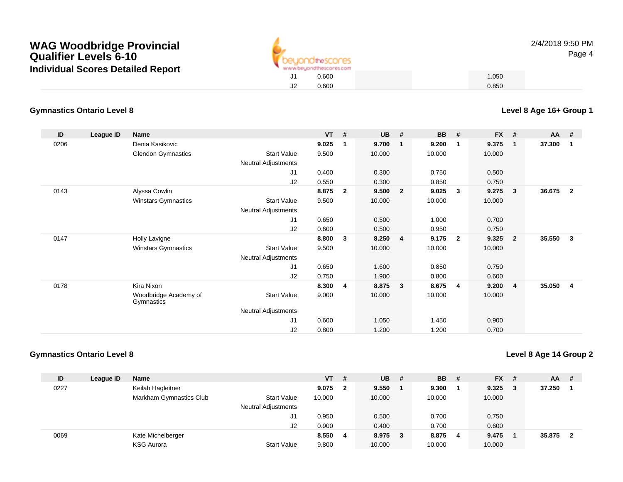

### **Gymnastics Ontario Level 8**

| ID   | League ID | <b>Name</b>                         |                     | $VT$ # |                | <b>UB</b> | #                       | <b>BB</b> | #              | <b>FX</b> | #              | $AA$ # |                |
|------|-----------|-------------------------------------|---------------------|--------|----------------|-----------|-------------------------|-----------|----------------|-----------|----------------|--------|----------------|
| 0206 |           | Denia Kasikovic                     |                     | 9.025  | $\mathbf 1$    | 9.700     | - 1                     | 9.200     | $\mathbf 1$    | 9.375     | $\mathbf{1}$   | 37.300 | -1             |
|      |           | <b>Glendon Gymnastics</b>           | <b>Start Value</b>  | 9.500  |                | 10.000    |                         | 10.000    |                | 10.000    |                |        |                |
|      |           |                                     | Neutral Adjustments |        |                |           |                         |           |                |           |                |        |                |
|      |           |                                     | J <sub>1</sub>      | 0.400  |                | 0.300     |                         | 0.750     |                | 0.500     |                |        |                |
|      |           |                                     | J2                  | 0.550  |                | 0.300     |                         | 0.850     |                | 0.750     |                |        |                |
| 0143 |           | Alyssa Cowlin                       |                     | 8.875  | $\overline{2}$ | 9.500     | $\overline{\mathbf{2}}$ | 9.025     | 3              | 9.275     | 3              | 36.675 | $\overline{2}$ |
|      |           | Winstars Gymnastics                 | <b>Start Value</b>  | 9.500  |                | 10.000    |                         | 10.000    |                | 10.000    |                |        |                |
|      |           |                                     | Neutral Adjustments |        |                |           |                         |           |                |           |                |        |                |
|      |           |                                     | J <sub>1</sub>      | 0.650  |                | 0.500     |                         | 1.000     |                | 0.700     |                |        |                |
|      |           |                                     | J2                  | 0.600  |                | 0.500     |                         | 0.950     |                | 0.750     |                |        |                |
| 0147 |           | Holly Lavigne                       |                     | 8.800  | $\mathbf{3}$   | 8.250     | $\overline{4}$          | 9.175     | $\overline{2}$ | 9.325     | $\overline{2}$ | 35.550 | 3              |
|      |           | <b>Winstars Gymnastics</b>          | <b>Start Value</b>  | 9.500  |                | 10.000    |                         | 10.000    |                | 10.000    |                |        |                |
|      |           |                                     | Neutral Adjustments |        |                |           |                         |           |                |           |                |        |                |
|      |           |                                     | J <sub>1</sub>      | 0.650  |                | 1.600     |                         | 0.850     |                | 0.750     |                |        |                |
|      |           |                                     | J2                  | 0.750  |                | 1.900     |                         | 0.800     |                | 0.600     |                |        |                |
| 0178 |           | Kira Nixon                          |                     | 8.300  | 4              | 8.875     | $\overline{\mathbf{3}}$ | 8.675     | 4              | 9.200     | $\overline{4}$ | 35.050 | $\overline{4}$ |
|      |           | Woodbridge Academy of<br>Gymnastics | <b>Start Value</b>  | 9.000  |                | 10.000    |                         | 10.000    |                | 10.000    |                |        |                |
|      |           |                                     | Neutral Adjustments |        |                |           |                         |           |                |           |                |        |                |
|      |           |                                     | J1                  | 0.600  |                | 1.050     |                         | 1.450     |                | 0.900     |                |        |                |
|      |           |                                     | J2                  | 0.800  |                | 1.200     |                         | 1.200     |                | 0.700     |                |        |                |

#### **Gymnastics Ontario Level 8**

**Level 8 Age 14 Group 2**

| ID   | League ID | <b>Name</b>             |                            | $VT$ # |              | <b>UB</b> | - # | <b>BB</b> | - # | <b>FX</b> | -#  | <b>AA</b> | # |
|------|-----------|-------------------------|----------------------------|--------|--------------|-----------|-----|-----------|-----|-----------|-----|-----------|---|
| 0227 |           | Keilah Hagleitner       |                            | 9.075  | $\mathbf{2}$ | 9.550     |     | 9.300     |     | 9.325     | - 3 | 37.250    |   |
|      |           | Markham Gymnastics Club | <b>Start Value</b>         | 10.000 |              | 10.000    |     | 10.000    |     | 10.000    |     |           |   |
|      |           |                         | <b>Neutral Adjustments</b> |        |              |           |     |           |     |           |     |           |   |
|      |           |                         | J1                         | 0.950  |              | 0.500     |     | 0.700     |     | 0.750     |     |           |   |
|      |           |                         | J2                         | 0.900  |              | 0.400     |     | 0.700     |     | 0.600     |     |           |   |
| 0069 |           | Kate Michelberger       |                            | 8.550  | 4            | 8.975 3   |     | 8.875     | -4  | 9.475     |     | 35.875    | 2 |
|      |           | <b>KSG Aurora</b>       | <b>Start Value</b>         | 9.800  |              | 10.000    |     | 10.000    |     | 10.000    |     |           |   |

**Level 8 Age 16+ Group 1**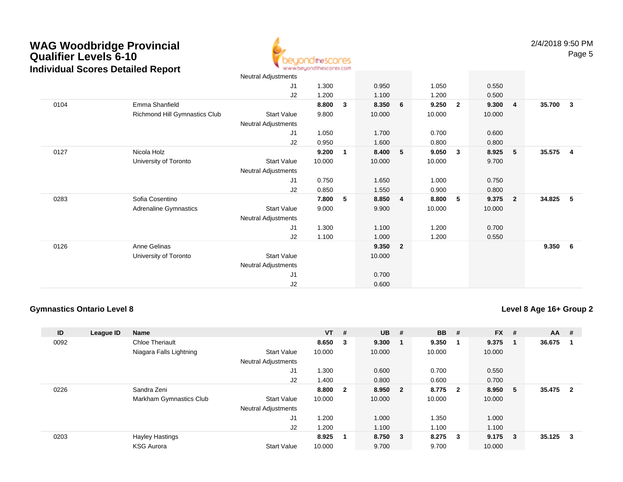

|      |                               | Neutral Adjustments |        |              |         |                         |        |                |        |                |        |                |
|------|-------------------------------|---------------------|--------|--------------|---------|-------------------------|--------|----------------|--------|----------------|--------|----------------|
|      |                               | J1                  | 1.300  |              | 0.950   |                         | 1.050  |                | 0.550  |                |        |                |
|      |                               | J2                  | 1.200  |              | 1.100   |                         | 1.200  |                | 0.500  |                |        |                |
| 0104 | Emma Shanfield                |                     | 8.800  | $\mathbf{3}$ | 8.350   | 6                       | 9.250  | $\overline{2}$ | 9.300  | $\overline{4}$ | 35.700 | $\mathbf{3}$   |
|      | Richmond Hill Gymnastics Club | Start Value         | 9.800  |              | 10.000  |                         | 10.000 |                | 10.000 |                |        |                |
|      |                               | Neutral Adjustments |        |              |         |                         |        |                |        |                |        |                |
|      |                               | J1                  | 1.050  |              | 1.700   |                         | 0.700  |                | 0.600  |                |        |                |
|      |                               | J2                  | 0.950  |              | 1.600   |                         | 0.800  |                | 0.800  |                |        |                |
| 0127 | Nicola Holz                   |                     | 9.200  | 1            | 8.400   | 5 <sub>5</sub>          | 9.050  | $\mathbf{3}$   | 8.925  | 5              | 35.575 | $\overline{4}$ |
|      | University of Toronto         | Start Value         | 10.000 |              | 10.000  |                         | 10.000 |                | 9.700  |                |        |                |
|      |                               | Neutral Adjustments |        |              |         |                         |        |                |        |                |        |                |
|      |                               | J <sub>1</sub>      | 0.750  |              | 1.650   |                         | 1.000  |                | 0.750  |                |        |                |
|      |                               | J2                  | 0.850  |              | 1.550   |                         | 0.900  |                | 0.800  |                |        |                |
| 0283 | Sofia Cosentino               |                     | 7.800  | 5            | 8.850 4 |                         | 8.800  | 5              | 9.375  | $\overline{2}$ | 34.825 | 5              |
|      | Adrenaline Gymnastics         | <b>Start Value</b>  | 9.000  |              | 9.900   |                         | 10.000 |                | 10.000 |                |        |                |
|      |                               | Neutral Adjustments |        |              |         |                         |        |                |        |                |        |                |
|      |                               | J1                  | 1.300  |              | 1.100   |                         | 1.200  |                | 0.700  |                |        |                |
|      |                               | J2                  | 1.100  |              | 1.000   |                         | 1.200  |                | 0.550  |                |        |                |
| 0126 | Anne Gelinas                  |                     |        |              | 9.350   | $\overline{\mathbf{2}}$ |        |                |        |                | 9.350  | - 6            |
|      | University of Toronto         | Start Value         |        |              | 10.000  |                         |        |                |        |                |        |                |
|      |                               | Neutral Adjustments |        |              |         |                         |        |                |        |                |        |                |
|      |                               | J <sub>1</sub>      |        |              | 0.700   |                         |        |                |        |                |        |                |
|      |                               | J2                  |        |              | 0.600   |                         |        |                |        |                |        |                |

### **Gymnastics Ontario Level 8**

### **Level 8 Age 16+ Group 2**

| ID   | League ID | Name                    |                            | $VT$ # |                | <b>UB</b> | #                       | <b>BB</b> | #                       | <b>FX</b> | -#  | AA     | #              |
|------|-----------|-------------------------|----------------------------|--------|----------------|-----------|-------------------------|-----------|-------------------------|-----------|-----|--------|----------------|
| 0092 |           | <b>Chloe Theriault</b>  |                            | 8.650  | -3             | 9.300     |                         | 9.350     |                         | 9.375     |     | 36.675 |                |
|      |           | Niagara Falls Lightning | <b>Start Value</b>         | 10.000 |                | 10.000    |                         | 10.000    |                         | 10.000    |     |        |                |
|      |           |                         | <b>Neutral Adjustments</b> |        |                |           |                         |           |                         |           |     |        |                |
|      |           |                         | J1                         | 1.300  |                | 0.600     |                         | 0.700     |                         | 0.550     |     |        |                |
|      |           |                         | J2                         | 1.400  |                | 0.800     |                         | 0.600     |                         | 0.700     |     |        |                |
| 0226 |           | Sandra Zeni             |                            | 8.800  | $\overline{2}$ | 8.950     | $\overline{\mathbf{2}}$ | 8.775     | $\overline{\mathbf{2}}$ | 8.950     | - 5 | 35.475 | $\overline{2}$ |
|      |           | Markham Gymnastics Club | <b>Start Value</b>         | 10.000 |                | 10.000    |                         | 10.000    |                         | 10.000    |     |        |                |
|      |           |                         | <b>Neutral Adjustments</b> |        |                |           |                         |           |                         |           |     |        |                |
|      |           |                         | J <sub>1</sub>             | 1.200  |                | 1.000     |                         | 1.350     |                         | 1.000     |     |        |                |
|      |           |                         | J2                         | 1.200  |                | 1.100     |                         | 1.100     |                         | 1.100     |     |        |                |
| 0203 |           | <b>Hayley Hastings</b>  |                            | 8.925  | 1              | 8.750     | $_{3}$                  | 8.275     | $\overline{\mathbf{3}}$ | 9.175     | -3  | 35.125 | 3              |
|      |           | <b>KSG Aurora</b>       | <b>Start Value</b>         | 10.000 |                | 9.700     |                         | 9.700     |                         | 10.000    |     |        |                |